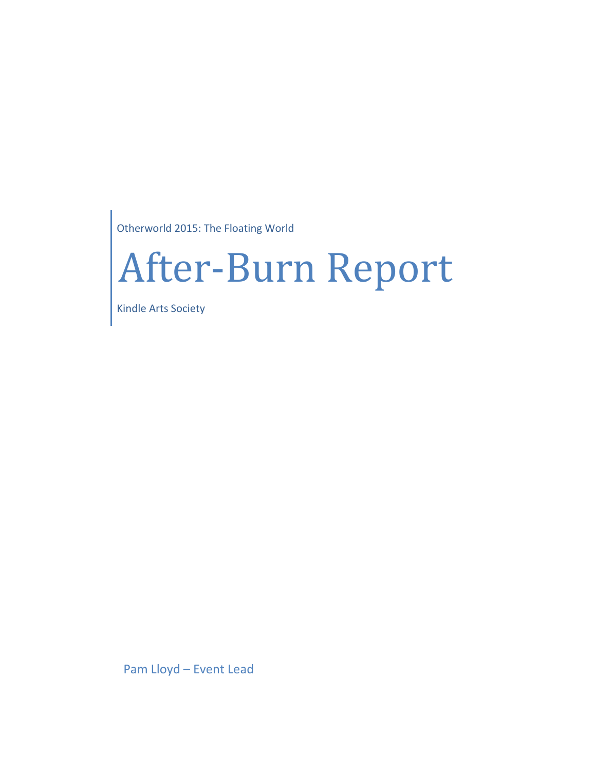Otherworld 2015: The Floating World

# After-Burn Report

Kindle Arts Society

Pam Lloyd – Event Lead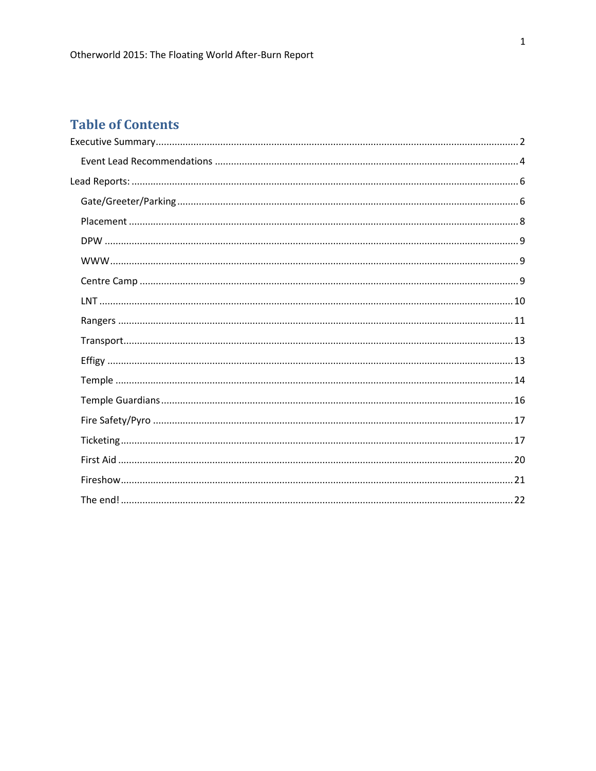# **Table of Contents**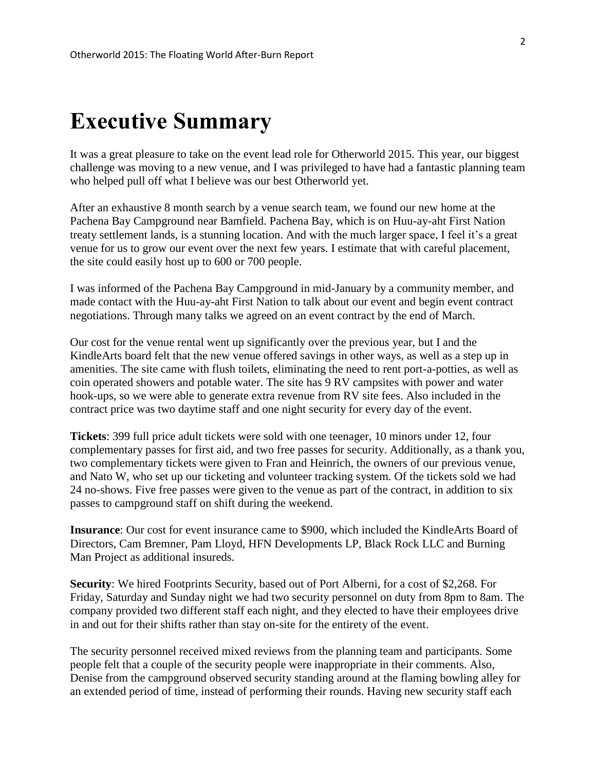# <span id="page-2-0"></span>**Executive Summary**

It was a great pleasure to take on the event lead role for Otherworld 2015. This year, our biggest challenge was moving to a new venue, and I was privileged to have had a fantastic planning team who helped pull off what I believe was our best Otherworld yet.

After an exhaustive 8 month search by a venue search team, we found our new home at the Pachena Bay Campground near Bamfield. Pachena Bay, which is on Huu-ay-aht First Nation treaty settlement lands, is a stunning location. And with the much larger space, I feel it's a great venue for us to grow our event over the next few years. I estimate that with careful placement, the site could easily host up to 600 or 700 people.

I was informed of the Pachena Bay Campground in mid-January by a community member, and made contact with the Huu-ay-aht First Nation to talk about our event and begin event contract negotiations. Through many talks we agreed on an event contract by the end of March.

Our cost for the venue rental went up significantly over the previous year, but I and the KindleArts board felt that the new venue offered savings in other ways, as well as a step up in amenities. The site came with flush toilets, eliminating the need to rent port-a-potties, as well as coin operated showers and potable water. The site has 9 RV campsites with power and water hook-ups, so we were able to generate extra revenue from RV site fees. Also included in the contract price was two daytime staff and one night security for every day of the event.

**Tickets**: 399 full price adult tickets were sold with one teenager, 10 minors under 12, four complementary passes for first aid, and two free passes for security. Additionally, as a thank you, two complementary tickets were given to Fran and Heinrich, the owners of our previous venue, and Nato W, who set up our ticketing and volunteer tracking system. Of the tickets sold we had 24 no-shows. Five free passes were given to the venue as part of the contract, in addition to six passes to campground staff on shift during the weekend.

**Insurance**: Our cost for event insurance came to \$900, which included the KindleArts Board of Directors, Cam Bremner, Pam Lloyd, HFN Developments LP, Black Rock LLC and Burning Man Project as additional insureds.

**Security**: We hired Footprints Security, based out of Port Alberni, for a cost of \$2,268. For Friday, Saturday and Sunday night we had two security personnel on duty from 8pm to 8am. The company provided two different staff each night, and they elected to have their employees drive in and out for their shifts rather than stay on-site for the entirety of the event.

The security personnel received mixed reviews from the planning team and participants. Some people felt that a couple of the security people were inappropriate in their comments. Also, Denise from the campground observed security standing around at the flaming bowling alley for an extended period of time, instead of performing their rounds. Having new security staff each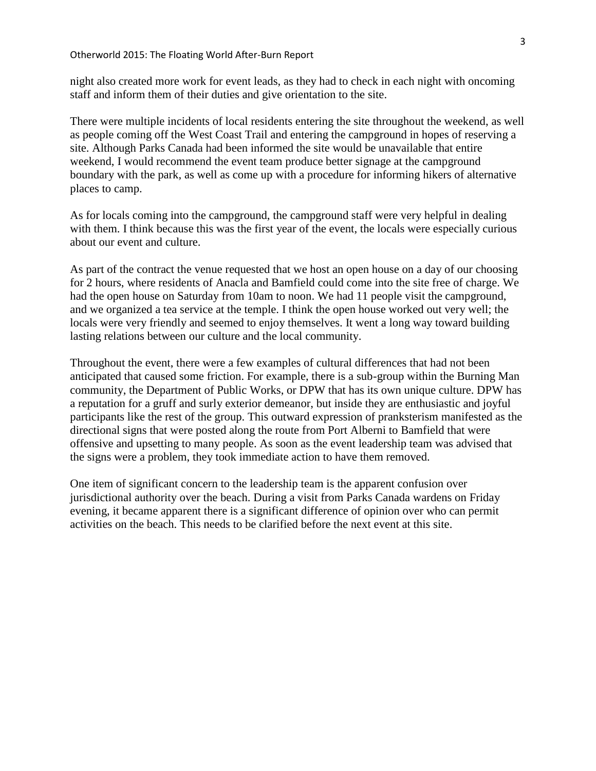night also created more work for event leads, as they had to check in each night with oncoming staff and inform them of their duties and give orientation to the site.

There were multiple incidents of local residents entering the site throughout the weekend, as well as people coming off the West Coast Trail and entering the campground in hopes of reserving a site. Although Parks Canada had been informed the site would be unavailable that entire weekend, I would recommend the event team produce better signage at the campground boundary with the park, as well as come up with a procedure for informing hikers of alternative places to camp.

As for locals coming into the campground, the campground staff were very helpful in dealing with them. I think because this was the first year of the event, the locals were especially curious about our event and culture.

As part of the contract the venue requested that we host an open house on a day of our choosing for 2 hours, where residents of Anacla and Bamfield could come into the site free of charge. We had the open house on Saturday from 10am to noon. We had 11 people visit the campground, and we organized a tea service at the temple. I think the open house worked out very well; the locals were very friendly and seemed to enjoy themselves. It went a long way toward building lasting relations between our culture and the local community.

Throughout the event, there were a few examples of cultural differences that had not been anticipated that caused some friction. For example, there is a sub-group within the Burning Man community, the Department of Public Works, or DPW that has its own unique culture. DPW has a reputation for a gruff and surly exterior demeanor, but inside they are enthusiastic and joyful participants like the rest of the group. This outward expression of pranksterism manifested as the directional signs that were posted along the route from Port Alberni to Bamfield that were offensive and upsetting to many people. As soon as the event leadership team was advised that the signs were a problem, they took immediate action to have them removed.

One item of significant concern to the leadership team is the apparent confusion over jurisdictional authority over the beach. During a visit from Parks Canada wardens on Friday evening, it became apparent there is a significant difference of opinion over who can permit activities on the beach. This needs to be clarified before the next event at this site.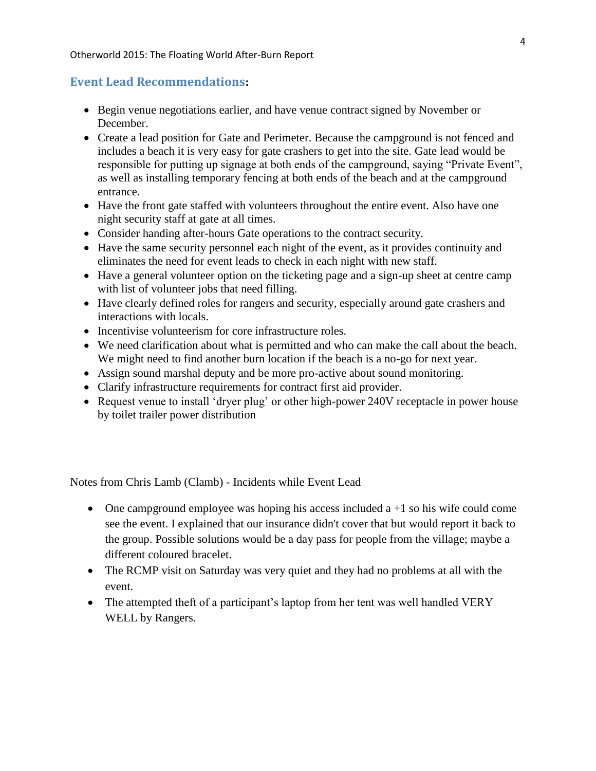#### Otherworld 2015: The Floating World After-Burn Report

# <span id="page-4-0"></span>**Event Lead Recommendations:**

- Begin venue negotiations earlier, and have venue contract signed by November or December.
- Create a lead position for Gate and Perimeter. Because the campground is not fenced and includes a beach it is very easy for gate crashers to get into the site. Gate lead would be responsible for putting up signage at both ends of the campground, saying "Private Event", as well as installing temporary fencing at both ends of the beach and at the campground entrance.
- Have the front gate staffed with volunteers throughout the entire event. Also have one night security staff at gate at all times.
- Consider handing after-hours Gate operations to the contract security.
- Have the same security personnel each night of the event, as it provides continuity and eliminates the need for event leads to check in each night with new staff.
- Have a general volunteer option on the ticketing page and a sign-up sheet at centre camp with list of volunteer jobs that need filling.
- Have clearly defined roles for rangers and security, especially around gate crashers and interactions with locals.
- Incentivise volunteerism for core infrastructure roles.
- We need clarification about what is permitted and who can make the call about the beach. We might need to find another burn location if the beach is a no-go for next year.
- Assign sound marshal deputy and be more pro-active about sound monitoring.
- Clarify infrastructure requirements for contract first aid provider.
- Request venue to install 'dryer plug' or other high-power 240V receptacle in power house by toilet trailer power distribution

Notes from Chris Lamb (Clamb) - Incidents while Event Lead

- One campground employee was hoping his access included  $a + 1$  so his wife could come see the event. I explained that our insurance didn't cover that but would report it back to the group. Possible solutions would be a day pass for people from the village; maybe a different coloured bracelet.
- The RCMP visit on Saturday was very quiet and they had no problems at all with the event.
- The attempted theft of a participant's laptop from her tent was well handled VERY WELL by Rangers.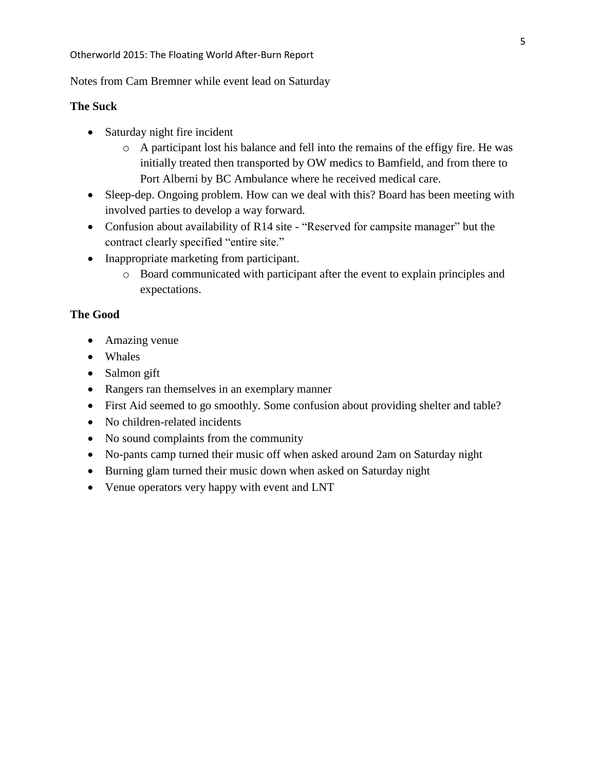Notes from Cam Bremner while event lead on Saturday

#### **The Suck**

- Saturday night fire incident
	- o A participant lost his balance and fell into the remains of the effigy fire. He was initially treated then transported by OW medics to Bamfield, and from there to Port Alberni by BC Ambulance where he received medical care.
- Sleep-dep. Ongoing problem. How can we deal with this? Board has been meeting with involved parties to develop a way forward.
- Confusion about availability of R14 site "Reserved for campsite manager" but the contract clearly specified "entire site."
- Inappropriate marketing from participant.
	- o Board communicated with participant after the event to explain principles and expectations.

#### **The Good**

- Amazing venue
- Whales
- Salmon gift
- Rangers ran themselves in an exemplary manner
- First Aid seemed to go smoothly. Some confusion about providing shelter and table?
- No children-related incidents
- No sound complaints from the community
- No-pants camp turned their music off when asked around 2am on Saturday night
- Burning glam turned their music down when asked on Saturday night
- Venue operators very happy with event and LNT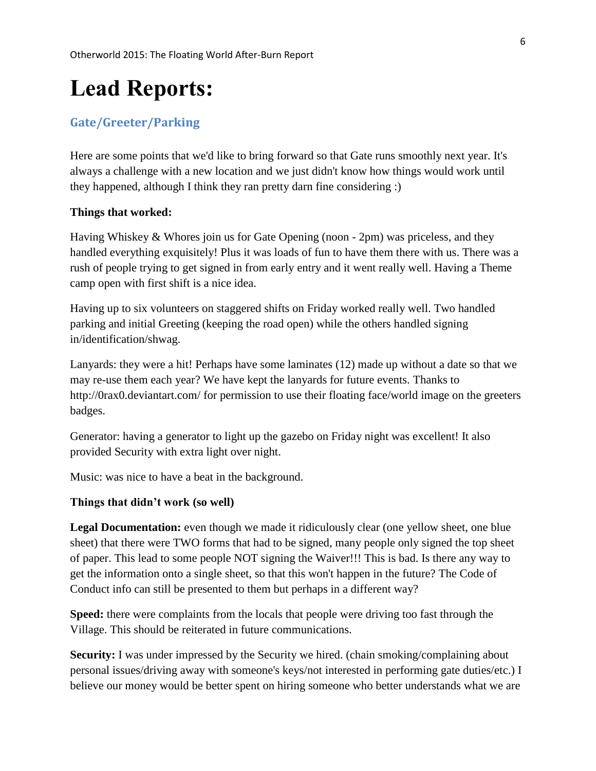# <span id="page-6-0"></span>**Lead Reports:**

# <span id="page-6-1"></span>**Gate/Greeter/Parking**

Here are some points that we'd like to bring forward so that Gate runs smoothly next year. It's always a challenge with a new location and we just didn't know how things would work until they happened, although I think they ran pretty darn fine considering :)

#### **Things that worked:**

Having Whiskey & Whores join us for Gate Opening (noon - 2pm) was priceless, and they handled everything exquisitely! Plus it was loads of fun to have them there with us. There was a rush of people trying to get signed in from early entry and it went really well. Having a Theme camp open with first shift is a nice idea.

Having up to six volunteers on staggered shifts on Friday worked really well. Two handled parking and initial Greeting (keeping the road open) while the others handled signing in/identification/shwag.

Lanyards: they were a hit! Perhaps have some laminates (12) made up without a date so that we may re-use them each year? We have kept the lanyards for future events. Thanks to <http://0rax0.deviantart.com/> for permission to use their floating face/world image on the greeters badges.

Generator: having a generator to light up the gazebo on Friday night was excellent! It also provided Security with extra light over night.

Music: was nice to have a beat in the background.

#### **Things that didn't work (so well)**

Legal Documentation: even though we made it ridiculously clear (one yellow sheet, one blue sheet) that there were TWO forms that had to be signed, many people only signed the top sheet of paper. This lead to some people NOT signing the Waiver!!! This is bad. Is there any way to get the information onto a single sheet, so that this won't happen in the future? The Code of Conduct info can still be presented to them but perhaps in a different way?

**Speed:** there were complaints from the locals that people were driving too fast through the Village. This should be reiterated in future communications.

**Security:** I was under impressed by the Security we hired. (chain smoking/complaining about personal issues/driving away with someone's keys/not interested in performing gate duties/etc.) I believe our money would be better spent on hiring someone who better understands what we are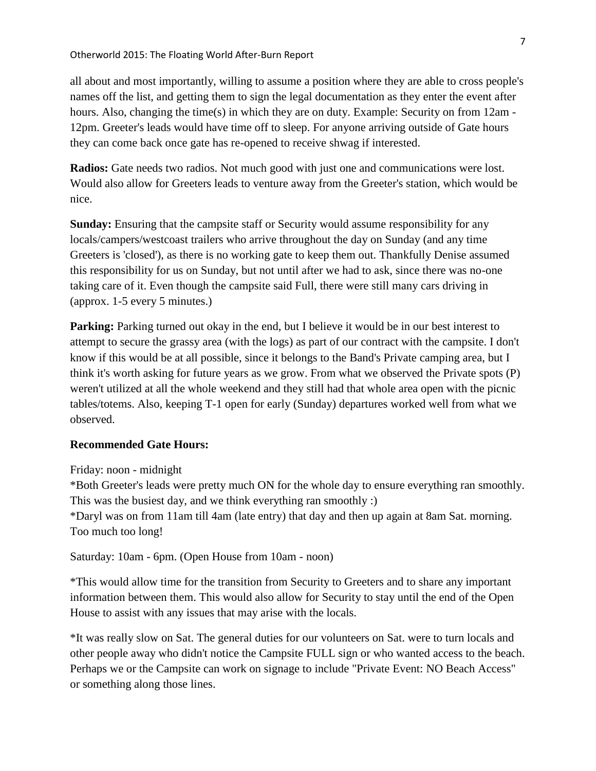all about and most importantly, willing to assume a position where they are able to cross people's names off the list, and getting them to sign the legal documentation as they enter the event after hours. Also, changing the time(s) in which they are on duty. Example: Security on from 12am - 12pm. Greeter's leads would have time off to sleep. For anyone arriving outside of Gate hours they can come back once gate has re-opened to receive shwag if interested.

**Radios:** Gate needs two radios. Not much good with just one and communications were lost. Would also allow for Greeters leads to venture away from the Greeter's station, which would be nice.

**Sunday:** Ensuring that the campsite staff or Security would assume responsibility for any locals/campers/westcoast trailers who arrive throughout the day on Sunday (and any time Greeters is 'closed'), as there is no working gate to keep them out. Thankfully Denise assumed this responsibility for us on Sunday, but not until after we had to ask, since there was no-one taking care of it. Even though the campsite said Full, there were still many cars driving in (approx. 1-5 every 5 minutes.)

**Parking:** Parking turned out okay in the end, but I believe it would be in our best interest to attempt to secure the grassy area (with the logs) as part of our contract with the campsite. I don't know if this would be at all possible, since it belongs to the Band's Private camping area, but I think it's worth asking for future years as we grow. From what we observed the Private spots (P) weren't utilized at all the whole weekend and they still had that whole area open with the picnic tables/totems. Also, keeping T-1 open for early (Sunday) departures worked well from what we observed.

#### **Recommended Gate Hours:**

Friday: noon - midnight

\*Both Greeter's leads were pretty much ON for the whole day to ensure everything ran smoothly. This was the busiest day, and we think everything ran smoothly :) \*Daryl was on from 11am till 4am (late entry) that day and then up again at 8am Sat. morning. Too much too long!

Saturday: 10am - 6pm. (Open House from 10am - noon)

\*This would allow time for the transition from Security to Greeters and to share any important information between them. This would also allow for Security to stay until the end of the Open House to assist with any issues that may arise with the locals.

\*It was really slow on Sat. The general duties for our volunteers on Sat. were to turn locals and other people away who didn't notice the Campsite FULL sign or who wanted access to the beach. Perhaps we or the Campsite can work on signage to include "Private Event: NO Beach Access" or something along those lines.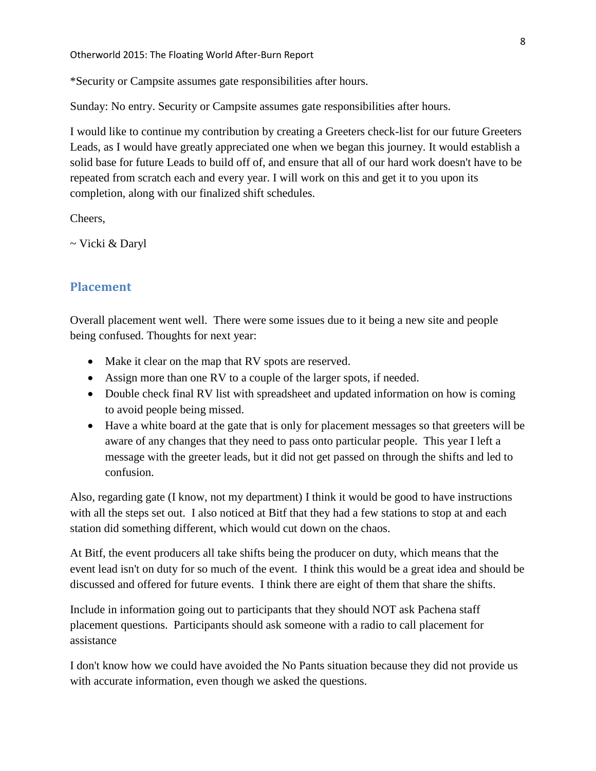Otherworld 2015: The Floating World After-Burn Report

\*Security or Campsite assumes gate responsibilities after hours.

Sunday: No entry. Security or Campsite assumes gate responsibilities after hours.

I would like to continue my contribution by creating a Greeters check-list for our future Greeters Leads, as I would have greatly appreciated one when we began this journey. It would establish a solid base for future Leads to build off of, and ensure that all of our hard work doesn't have to be repeated from scratch each and every year. I will work on this and get it to you upon its completion, along with our finalized shift schedules.

Cheers,

~ Vicki & Daryl

# <span id="page-8-0"></span>**Placement**

Overall placement went well. There were some issues due to it being a new site and people being confused. Thoughts for next year:

- Make it clear on the map that RV spots are reserved.
- Assign more than one RV to a couple of the larger spots, if needed.
- Double check final RV list with spreadsheet and updated information on how is coming to avoid people being missed.
- Have a white board at the gate that is only for placement messages so that greeters will be aware of any changes that they need to pass onto particular people. This year I left a message with the greeter leads, but it did not get passed on through the shifts and led to confusion.

Also, regarding gate (I know, not my department) I think it would be good to have instructions with all the steps set out. I also noticed at Bitf that they had a few stations to stop at and each station did something different, which would cut down on the chaos.

At Bitf, the event producers all take shifts being the producer on duty, which means that the event lead isn't on duty for so much of the event. I think this would be a great idea and should be discussed and offered for future events. I think there are eight of them that share the shifts.

Include in information going out to participants that they should NOT ask Pachena staff placement questions. Participants should ask someone with a radio to call placement for assistance

I don't know how we could have avoided the No Pants situation because they did not provide us with accurate information, even though we asked the questions.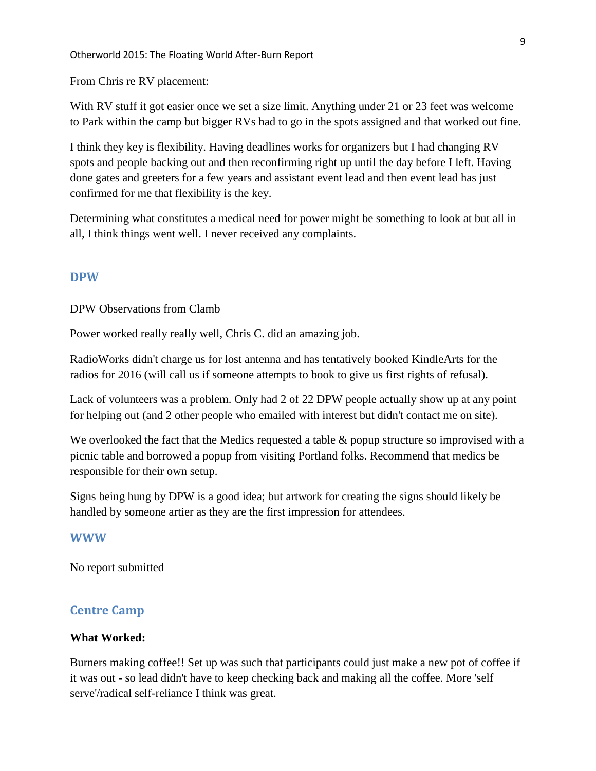From Chris re RV placement:

With RV stuff it got easier once we set a size limit. Anything under 21 or 23 feet was welcome to Park within the camp but bigger RVs had to go in the spots assigned and that worked out fine.

I think they key is flexibility. Having deadlines works for organizers but I had changing RV spots and people backing out and then reconfirming right up until the day before I left. Having done gates and greeters for a few years and assistant event lead and then event lead has just confirmed for me that flexibility is the key.

Determining what constitutes a medical need for power might be something to look at but all in all, I think things went well. I never received any complaints.

#### <span id="page-9-0"></span>**DPW**

DPW Observations from Clamb

Power worked really really well, Chris C. did an amazing job.

RadioWorks didn't charge us for lost antenna and has tentatively booked KindleArts for the radios for 2016 (will call us if someone attempts to book to give us first rights of refusal).

Lack of volunteers was a problem. Only had 2 of 22 DPW people actually show up at any point for helping out (and 2 other people who emailed with interest but didn't contact me on site).

We overlooked the fact that the Medics requested a table & popup structure so improvised with a picnic table and borrowed a popup from visiting Portland folks. Recommend that medics be responsible for their own setup.

Signs being hung by DPW is a good idea; but artwork for creating the signs should likely be handled by someone artier as they are the first impression for attendees.

#### <span id="page-9-1"></span>**WWW**

No report submitted

# <span id="page-9-2"></span>**Centre Camp**

#### **What Worked:**

Burners making coffee!! Set up was such that participants could just make a new pot of coffee if it was out - so lead didn't have to keep checking back and making all the coffee. More 'self serve'/radical self-reliance I think was great.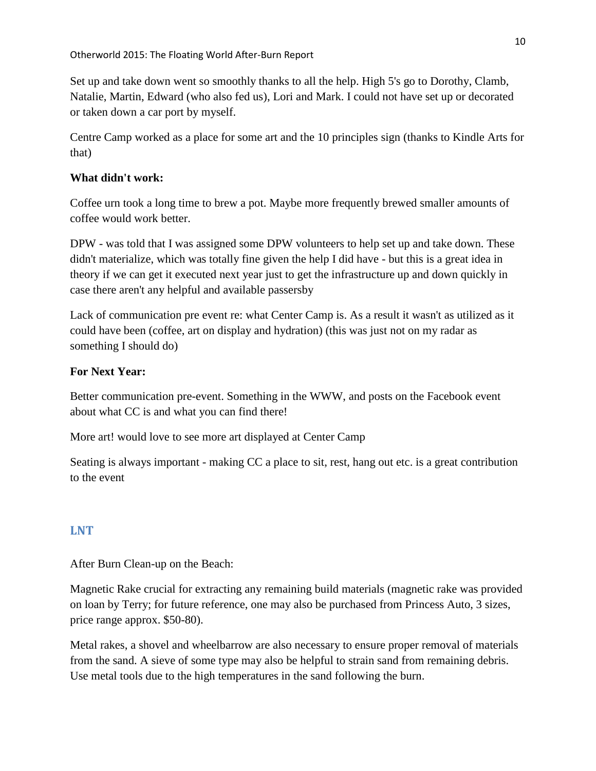Set up and take down went so smoothly thanks to all the help. High 5's go to Dorothy, Clamb, Natalie, Martin, Edward (who also fed us), Lori and Mark. I could not have set up or decorated or taken down a car port by myself.

Centre Camp worked as a place for some art and the 10 principles sign (thanks to Kindle Arts for that)

# **What didn't work:**

Coffee urn took a long time to brew a pot. Maybe more frequently brewed smaller amounts of coffee would work better.

DPW - was told that I was assigned some DPW volunteers to help set up and take down. These didn't materialize, which was totally fine given the help I did have - but this is a great idea in theory if we can get it executed next year just to get the infrastructure up and down quickly in case there aren't any helpful and available passersby

Lack of communication pre event re: what Center Camp is. As a result it wasn't as utilized as it could have been (coffee, art on display and hydration) (this was just not on my radar as something I should do)

# **For Next Year:**

Better communication pre-event. Something in the WWW, and posts on the Facebook event about what CC is and what you can find there!

More art! would love to see more art displayed at Center Camp

Seating is always important - making CC a place to sit, rest, hang out etc. is a great contribution to the event

# <span id="page-10-0"></span>**LNT**

After Burn Clean-up on the Beach:

Magnetic Rake crucial for extracting any remaining build materials (magnetic rake was provided on loan by Terry; for future reference, one may also be purchased from Princess Auto, 3 sizes, price range approx. \$50-80).

Metal rakes, a shovel and wheelbarrow are also necessary to ensure proper removal of materials from the sand. A sieve of some type may also be helpful to strain sand from remaining debris. Use metal tools due to the high temperatures in the sand following the burn.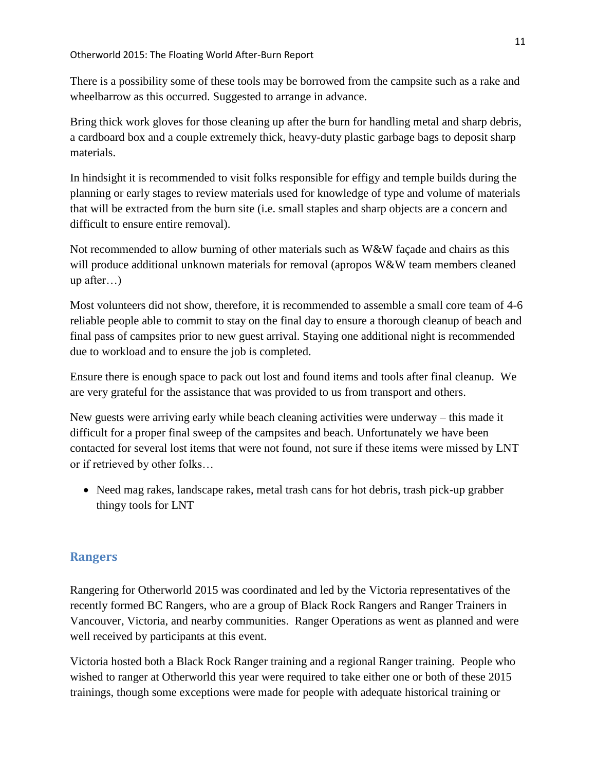#### Otherworld 2015: The Floating World After-Burn Report

There is a possibility some of these tools may be borrowed from the campsite such as a rake and wheelbarrow as this occurred. Suggested to arrange in advance.

Bring thick work gloves for those cleaning up after the burn for handling metal and sharp debris, a cardboard box and a couple extremely thick, heavy-duty plastic garbage bags to deposit sharp materials.

In hindsight it is recommended to visit folks responsible for effigy and temple builds during the planning or early stages to review materials used for knowledge of type and volume of materials that will be extracted from the burn site (i.e. small staples and sharp objects are a concern and difficult to ensure entire removal).

Not recommended to allow burning of other materials such as W&W façade and chairs as this will produce additional unknown materials for removal (apropos W&W team members cleaned up after…)

Most volunteers did not show, therefore, it is recommended to assemble a small core team of 4-6 reliable people able to commit to stay on the final day to ensure a thorough cleanup of beach and final pass of campsites prior to new guest arrival. Staying one additional night is recommended due to workload and to ensure the job is completed.

Ensure there is enough space to pack out lost and found items and tools after final cleanup. We are very grateful for the assistance that was provided to us from transport and others.

New guests were arriving early while beach cleaning activities were underway – this made it difficult for a proper final sweep of the campsites and beach. Unfortunately we have been contacted for several lost items that were not found, not sure if these items were missed by LNT or if retrieved by other folks…

• Need mag rakes, landscape rakes, metal trash cans for hot debris, trash pick-up grabber thingy tools for LNT

# <span id="page-11-0"></span>**Rangers**

Rangering for Otherworld 2015 was coordinated and led by the Victoria representatives of the recently formed BC Rangers, who are a group of Black Rock Rangers and Ranger Trainers in Vancouver, Victoria, and nearby communities. Ranger Operations as went as planned and were well received by participants at this event.

Victoria hosted both a Black Rock Ranger training and a regional Ranger training. People who wished to ranger at Otherworld this year were required to take either one or both of these 2015 trainings, though some exceptions were made for people with adequate historical training or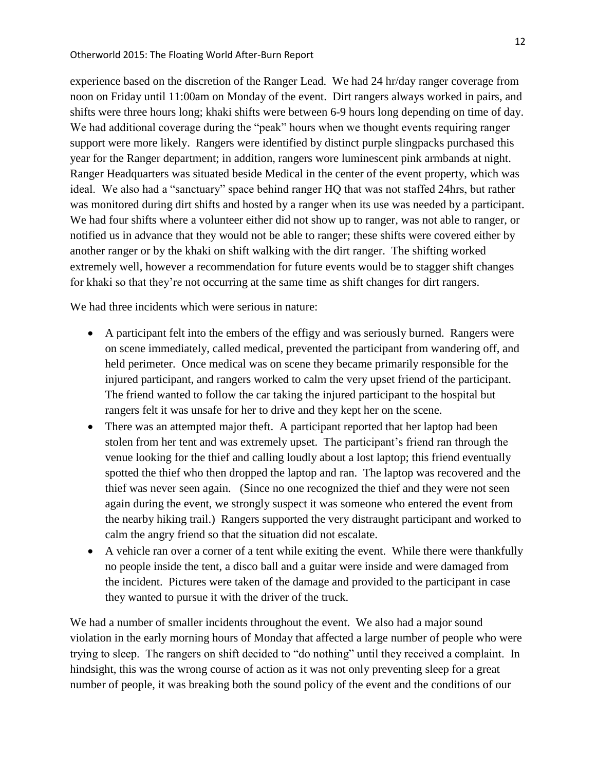experience based on the discretion of the Ranger Lead. We had 24 hr/day ranger coverage from noon on Friday until 11:00am on Monday of the event. Dirt rangers always worked in pairs, and shifts were three hours long; khaki shifts were between 6-9 hours long depending on time of day. We had additional coverage during the "peak" hours when we thought events requiring ranger support were more likely. Rangers were identified by distinct purple slingpacks purchased this year for the Ranger department; in addition, rangers wore luminescent pink armbands at night. Ranger Headquarters was situated beside Medical in the center of the event property, which was ideal. We also had a "sanctuary" space behind ranger HQ that was not staffed 24hrs, but rather was monitored during dirt shifts and hosted by a ranger when its use was needed by a participant. We had four shifts where a volunteer either did not show up to ranger, was not able to ranger, or notified us in advance that they would not be able to ranger; these shifts were covered either by another ranger or by the khaki on shift walking with the dirt ranger. The shifting worked extremely well, however a recommendation for future events would be to stagger shift changes for khaki so that they're not occurring at the same time as shift changes for dirt rangers.

We had three incidents which were serious in nature:

- A participant felt into the embers of the effigy and was seriously burned. Rangers were on scene immediately, called medical, prevented the participant from wandering off, and held perimeter. Once medical was on scene they became primarily responsible for the injured participant, and rangers worked to calm the very upset friend of the participant. The friend wanted to follow the car taking the injured participant to the hospital but rangers felt it was unsafe for her to drive and they kept her on the scene.
- There was an attempted major theft. A participant reported that her laptop had been stolen from her tent and was extremely upset. The participant's friend ran through the venue looking for the thief and calling loudly about a lost laptop; this friend eventually spotted the thief who then dropped the laptop and ran. The laptop was recovered and the thief was never seen again. (Since no one recognized the thief and they were not seen again during the event, we strongly suspect it was someone who entered the event from the nearby hiking trail.) Rangers supported the very distraught participant and worked to calm the angry friend so that the situation did not escalate.
- A vehicle ran over a corner of a tent while exiting the event. While there were thankfully no people inside the tent, a disco ball and a guitar were inside and were damaged from the incident. Pictures were taken of the damage and provided to the participant in case they wanted to pursue it with the driver of the truck.

We had a number of smaller incidents throughout the event. We also had a major sound violation in the early morning hours of Monday that affected a large number of people who were trying to sleep. The rangers on shift decided to "do nothing" until they received a complaint. In hindsight, this was the wrong course of action as it was not only preventing sleep for a great number of people, it was breaking both the sound policy of the event and the conditions of our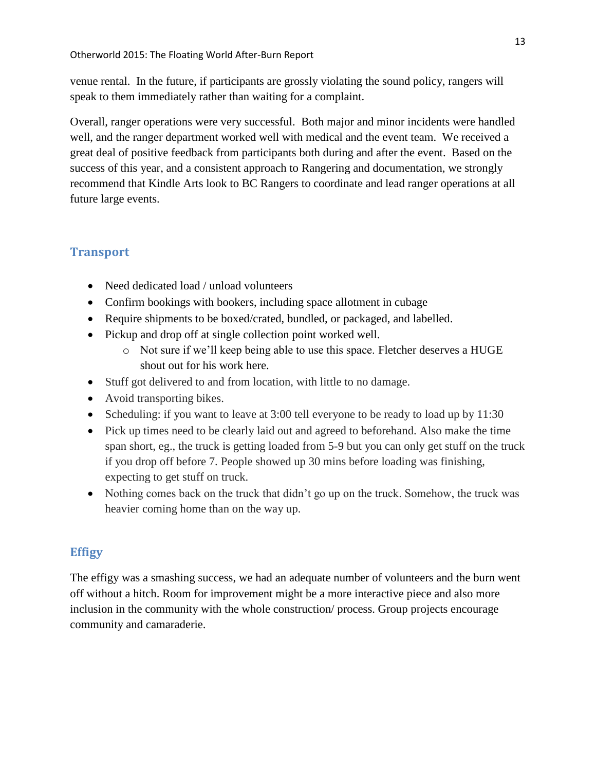venue rental. In the future, if participants are grossly violating the sound policy, rangers will speak to them immediately rather than waiting for a complaint.

Overall, ranger operations were very successful. Both major and minor incidents were handled well, and the ranger department worked well with medical and the event team. We received a great deal of positive feedback from participants both during and after the event. Based on the success of this year, and a consistent approach to Rangering and documentation, we strongly recommend that Kindle Arts look to BC Rangers to coordinate and lead ranger operations at all future large events.

# <span id="page-13-0"></span>**Transport**

- Need dedicated load / unload volunteers
- Confirm bookings with bookers, including space allotment in cubage
- Require shipments to be boxed/crated, bundled, or packaged, and labelled.
- Pickup and drop off at single collection point worked well.
	- o Not sure if we'll keep being able to use this space. Fletcher deserves a HUGE shout out for his work here.
- Stuff got delivered to and from location, with little to no damage.
- Avoid transporting bikes.
- Scheduling: if you want to leave at 3:00 tell everyone to be ready to load up by 11:30
- Pick up times need to be clearly laid out and agreed to beforehand. Also make the time span short, eg., the truck is getting loaded from 5-9 but you can only get stuff on the truck if you drop off before 7. People showed up 30 mins before loading was finishing, expecting to get stuff on truck.
- Nothing comes back on the truck that didn't go up on the truck. Somehow, the truck was heavier coming home than on the way up.

# <span id="page-13-1"></span>**Effigy**

The effigy was a smashing success, we had an adequate number of volunteers and the burn went off without a hitch. Room for improvement might be a more interactive piece and also more inclusion in the community with the whole construction/ process. Group projects encourage community and camaraderie.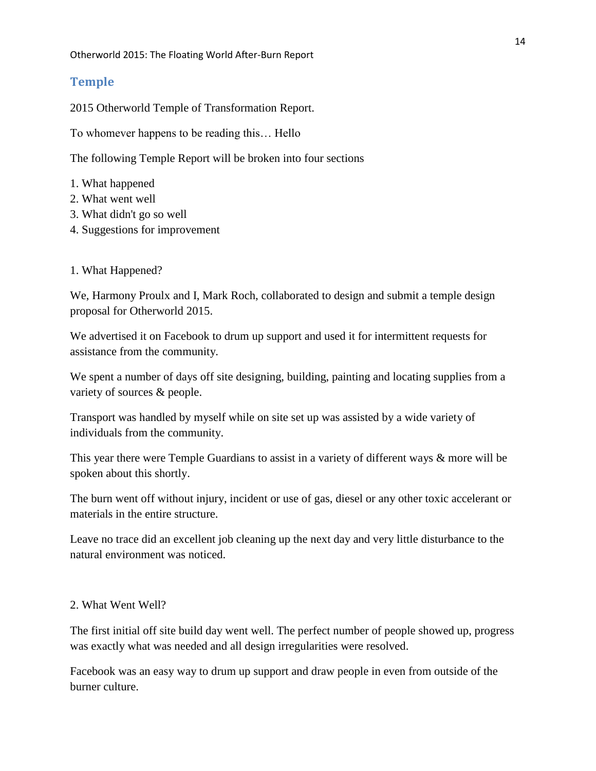## <span id="page-14-0"></span>**Temple**

2015 Otherworld Temple of Transformation Report.

To whomever happens to be reading this… Hello

The following Temple Report will be broken into four sections

- 1. What happened
- 2. What went well
- 3. What didn't go so well
- 4. Suggestions for improvement

#### 1. What Happened?

We, Harmony Proulx and I, Mark Roch, collaborated to design and submit a temple design proposal for Otherworld 2015.

We advertised it on Facebook to drum up support and used it for intermittent requests for assistance from the community.

We spent a number of days off site designing, building, painting and locating supplies from a variety of sources & people.

Transport was handled by myself while on site set up was assisted by a wide variety of individuals from the community.

This year there were Temple Guardians to assist in a variety of different ways & more will be spoken about this shortly.

The burn went off without injury, incident or use of gas, diesel or any other toxic accelerant or materials in the entire structure.

Leave no trace did an excellent job cleaning up the next day and very little disturbance to the natural environment was noticed.

#### 2. What Went Well?

The first initial off site build day went well. The perfect number of people showed up, progress was exactly what was needed and all design irregularities were resolved.

Facebook was an easy way to drum up support and draw people in even from outside of the burner culture.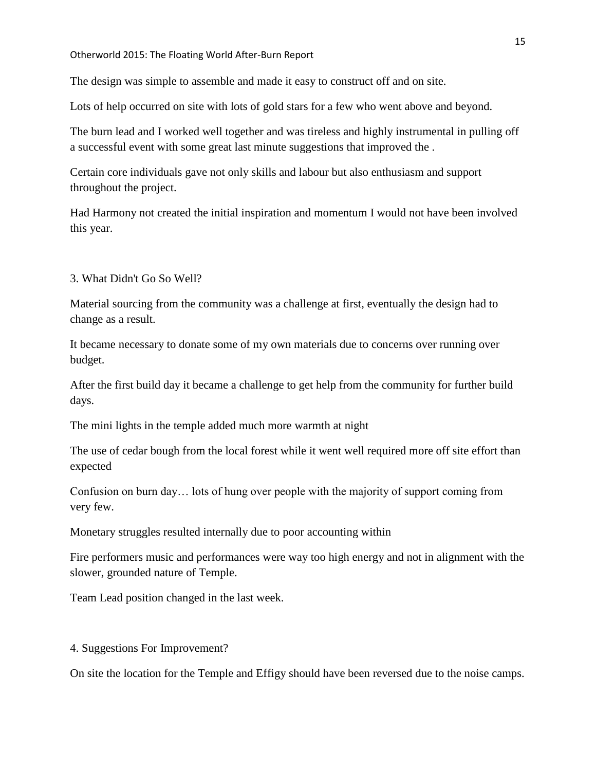Otherworld 2015: The Floating World After-Burn Report

The design was simple to assemble and made it easy to construct off and on site.

Lots of help occurred on site with lots of gold stars for a few who went above and beyond.

The burn lead and I worked well together and was tireless and highly instrumental in pulling off a successful event with some great last minute suggestions that improved the .

Certain core individuals gave not only skills and labour but also enthusiasm and support throughout the project.

Had Harmony not created the initial inspiration and momentum I would not have been involved this year.

3. What Didn't Go So Well?

Material sourcing from the community was a challenge at first, eventually the design had to change as a result.

It became necessary to donate some of my own materials due to concerns over running over budget.

After the first build day it became a challenge to get help from the community for further build days.

The mini lights in the temple added much more warmth at night

The use of cedar bough from the local forest while it went well required more off site effort than expected

Confusion on burn day… lots of hung over people with the majority of support coming from very few.

Monetary struggles resulted internally due to poor accounting within

Fire performers music and performances were way too high energy and not in alignment with the slower, grounded nature of Temple.

Team Lead position changed in the last week.

#### 4. Suggestions For Improvement?

On site the location for the Temple and Effigy should have been reversed due to the noise camps.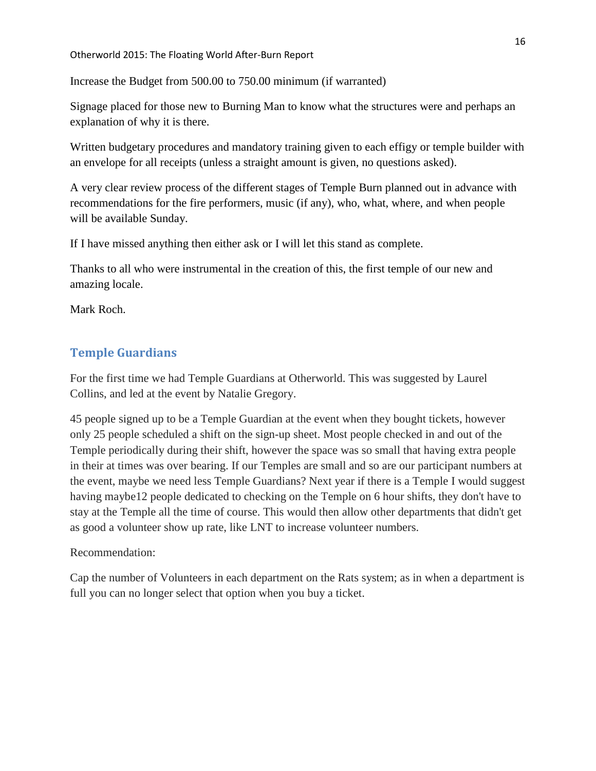Increase the Budget from 500.00 to 750.00 minimum (if warranted)

Signage placed for those new to Burning Man to know what the structures were and perhaps an explanation of why it is there.

Written budgetary procedures and mandatory training given to each effigy or temple builder with an envelope for all receipts (unless a straight amount is given, no questions asked).

A very clear review process of the different stages of Temple Burn planned out in advance with recommendations for the fire performers, music (if any), who, what, where, and when people will be available Sunday.

If I have missed anything then either ask or I will let this stand as complete.

Thanks to all who were instrumental in the creation of this, the first temple of our new and amazing locale.

Mark Roch.

# <span id="page-16-0"></span>**Temple Guardians**

For the first time we had Temple Guardians at Otherworld. This was suggested by Laurel Collins, and led at the event by Natalie Gregory.

45 people signed up to be a Temple Guardian at the event when they bought tickets, however only 25 people scheduled a shift on the sign-up sheet. Most people checked in and out of the Temple periodically during their shift, however the space was so small that having extra people in their at times was over bearing. If our Temples are small and so are our participant numbers at the event, maybe we need less Temple Guardians? Next year if there is a Temple I would suggest having maybe12 people dedicated to checking on the Temple on 6 hour shifts, they don't have to stay at the Temple all the time of course. This would then allow other departments that didn't get as good a volunteer show up rate, like LNT to increase volunteer numbers.

#### Recommendation:

Cap the number of Volunteers in each department on the Rats system; as in when a department is full you can no longer select that option when you buy a ticket.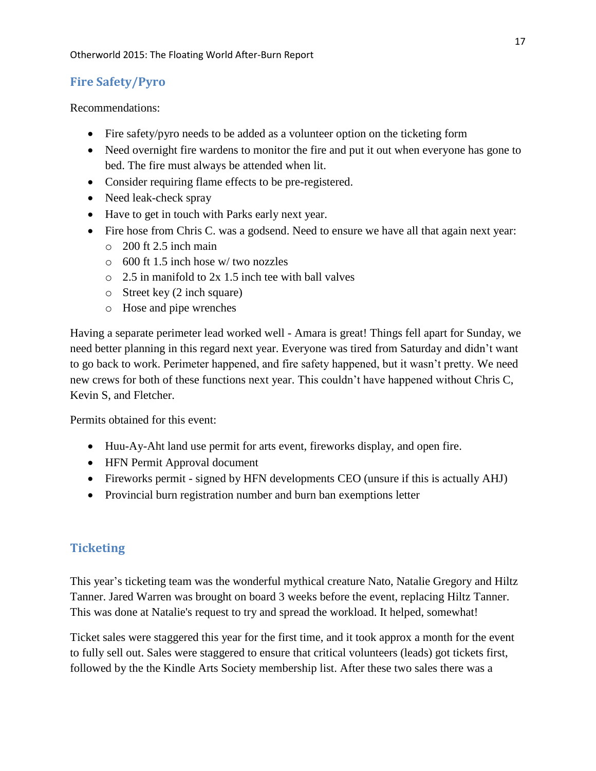# <span id="page-17-0"></span>**Fire Safety/Pyro**

Recommendations:

- Fire safety/pyro needs to be added as a volunteer option on the ticketing form
- Need overnight fire wardens to monitor the fire and put it out when everyone has gone to bed. The fire must always be attended when lit.
- Consider requiring flame effects to be pre-registered.
- Need leak-check spray
- Have to get in touch with Parks early next year.
- Fire hose from Chris C. was a godsend. Need to ensure we have all that again next year:
	- $\circ$  200 ft 2.5 inch main
	- o 600 ft 1.5 inch hose w/ two nozzles
	- $\circ$  2.5 in manifold to 2x 1.5 inch tee with ball valves
	- o Street key (2 inch square)
	- o Hose and pipe wrenches

Having a separate perimeter lead worked well - Amara is great! Things fell apart for Sunday, we need better planning in this regard next year. Everyone was tired from Saturday and didn't want to go back to work. Perimeter happened, and fire safety happened, but it wasn't pretty. We need new crews for both of these functions next year. This couldn't have happened without Chris C, Kevin S, and Fletcher.

Permits obtained for this event:

- Huu-Ay-Aht land use permit for arts event, fireworks display, and open fire.
- HFN Permit Approval document
- Fireworks permit signed by HFN developments CEO (unsure if this is actually AHJ)
- Provincial burn registration number and burn ban exemptions letter

# <span id="page-17-1"></span>**Ticketing**

This year's ticketing team was the wonderful mythical creature Nato, Natalie Gregory and Hiltz Tanner. Jared Warren was brought on board 3 weeks before the event, replacing Hiltz Tanner. This was done at Natalie's request to try and spread the workload. It helped, somewhat!

Ticket sales were staggered this year for the first time, and it took approx a month for the event to fully sell out. Sales were staggered to ensure that critical volunteers (leads) got tickets first, followed by the the Kindle Arts Society membership list. After these two sales there was a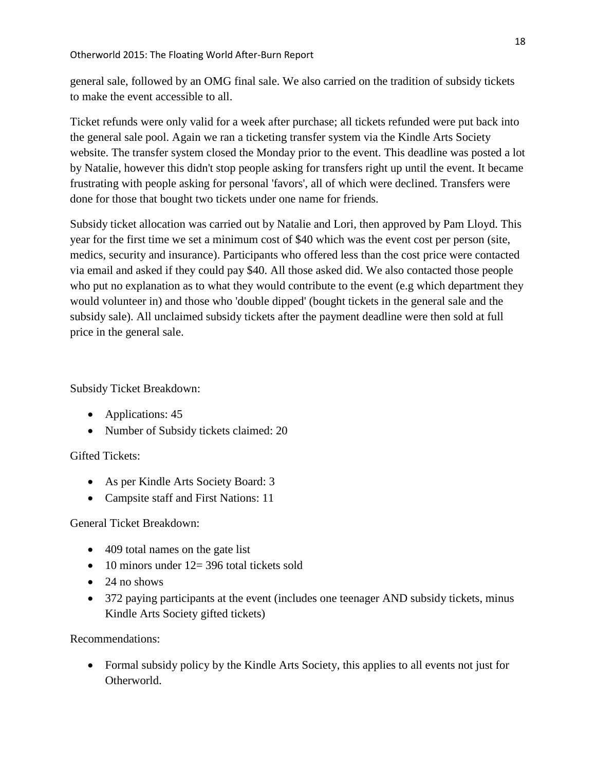general sale, followed by an OMG final sale. We also carried on the tradition of subsidy tickets to make the event accessible to all.

Ticket refunds were only valid for a week after purchase; all tickets refunded were put back into the general sale pool. Again we ran a ticketing transfer system via the Kindle Arts Society website. The transfer system closed the Monday prior to the event. This deadline was posted a lot by Natalie, however this didn't stop people asking for transfers right up until the event. It became frustrating with people asking for personal 'favors', all of which were declined. Transfers were done for those that bought two tickets under one name for friends.

Subsidy ticket allocation was carried out by Natalie and Lori, then approved by Pam Lloyd. This year for the first time we set a minimum cost of \$40 which was the event cost per person (site, medics, security and insurance). Participants who offered less than the cost price were contacted via email and asked if they could pay \$40. All those asked did. We also contacted those people who put no explanation as to what they would contribute to the event (e.g which department they would volunteer in) and those who 'double dipped' (bought tickets in the general sale and the subsidy sale). All unclaimed subsidy tickets after the payment deadline were then sold at full price in the general sale.

Subsidy Ticket Breakdown:

- Applications: 45
- Number of Subsidy tickets claimed: 20

# Gifted Tickets:

- As per Kindle Arts Society Board: 3
- Campsite staff and First Nations: 11

# General Ticket Breakdown:

- 409 total names on the gate list
- $\bullet$  10 minors under 12= 396 total tickets sold
- $\bullet$  24 no shows
- 372 paying participants at the event (includes one teenager AND subsidy tickets, minus Kindle Arts Society gifted tickets)

Recommendations:

 Formal subsidy policy by the Kindle Arts Society, this applies to all events not just for Otherworld.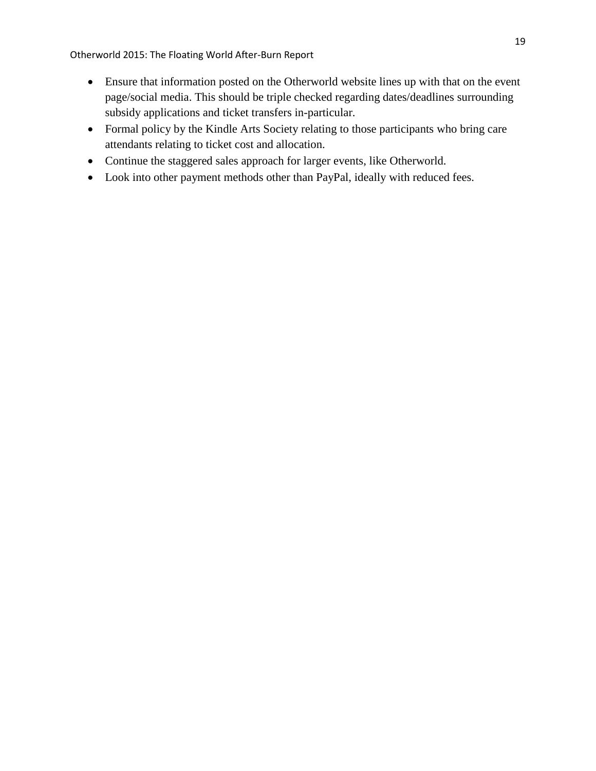- Ensure that information posted on the Otherworld website lines up with that on the event page/social media. This should be triple checked regarding dates/deadlines surrounding subsidy applications and ticket transfers in-particular.
- Formal policy by the Kindle Arts Society relating to those participants who bring care attendants relating to ticket cost and allocation.
- Continue the staggered sales approach for larger events, like Otherworld.
- Look into other payment methods other than PayPal, ideally with reduced fees.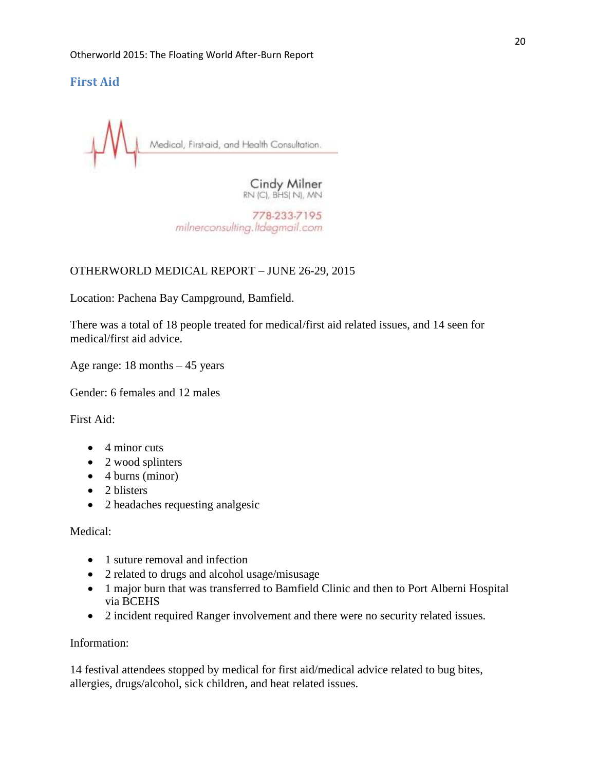# <span id="page-20-0"></span>**First Aid**

Medical, First-aid, and Health Consultation.

Cindy Milner RN (C), BHS( N), MN

778-233-7195 milnerconsulting.ltdagmail.com

# OTHERWORLD MEDICAL REPORT – JUNE 26-29, 2015

Location: Pachena Bay Campground, Bamfield.

There was a total of 18 people treated for medical/first aid related issues, and 14 seen for medical/first aid advice.

Age range: 18 months – 45 years

Gender: 6 females and 12 males

First Aid:

- $\bullet$  4 minor cuts
- 2 wood splinters
- $\bullet$  4 burns (minor)
- $\bullet$  2 blisters
- 2 headaches requesting analgesic

Medical:

- 1 suture removal and infection
- 2 related to drugs and alcohol usage/misusage
- 1 major burn that was transferred to Bamfield Clinic and then to Port Alberni Hospital via BCEHS
- 2 incident required Ranger involvement and there were no security related issues.

Information:

14 festival attendees stopped by medical for first aid/medical advice related to bug bites, allergies, drugs/alcohol, sick children, and heat related issues.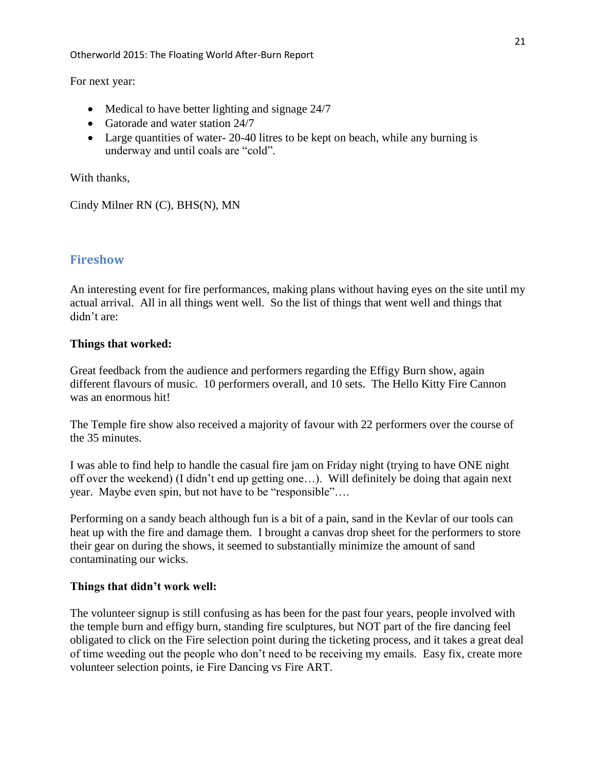For next year:

- Medical to have better lighting and signage 24/7
- Gatorade and water station 24/7
- Large quantities of water- 20-40 litres to be kept on beach, while any burning is underway and until coals are "cold".

With thanks,

Cindy Milner RN (C), BHS(N), MN

# <span id="page-21-0"></span>**Fireshow**

An interesting event for fire performances, making plans without having eyes on the site until my actual arrival. All in all things went well. So the list of things that went well and things that didn't are:

#### **Things that worked:**

Great feedback from the audience and performers regarding the Effigy Burn show, again different flavours of music. 10 performers overall, and 10 sets. The Hello Kitty Fire Cannon was an enormous hit!

The Temple fire show also received a majority of favour with 22 performers over the course of the 35 minutes.

I was able to find help to handle the casual fire jam on Friday night (trying to have ONE night off over the weekend) (I didn't end up getting one…). Will definitely be doing that again next year. Maybe even spin, but not have to be "responsible"….

Performing on a sandy beach although fun is a bit of a pain, sand in the Kevlar of our tools can heat up with the fire and damage them. I brought a canvas drop sheet for the performers to store their gear on during the shows, it seemed to substantially minimize the amount of sand contaminating our wicks.

# **Things that didn't work well:**

The volunteer signup is still confusing as has been for the past four years, people involved with the temple burn and effigy burn, standing fire sculptures, but NOT part of the fire dancing feel obligated to click on the Fire selection point during the ticketing process, and it takes a great deal of time weeding out the people who don't need to be receiving my emails. Easy fix, create more volunteer selection points, ie Fire Dancing vs Fire ART.